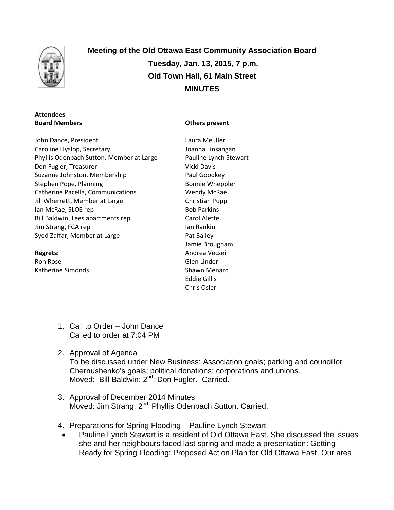

# **Meeting of the Old Ottawa East Community Association Board Tuesday, Jan. 13, 2015, 7 p.m. Old Town Hall, 61 Main Street MINUTES**

## **Attendees Board Members**

John Dance, President Caroline Hyslop, Secretary Phyllis Odenbach Sutton, Member at Large Don Fugler, Treasurer Suzanne Johnston, Membership Stephen Pope, Planning Catherine Pacella, Communications Jill Wherrett, Member at Large Ian McRae, SLOE rep Bill Baldwin, Lees apartments rep Jim Strang, FCA rep Syed Zaffar, Member at Large

**Regrets:** Ron Rose Katherine Simonds

## **Others present**

- Laura Meuller Joanna Linsangan Pauline Lynch Stewart Vicki Davis Paul Goodkey Bonnie Wheppler Wendy McRae Christian Pupp Bob Parkins Carol Alette Ian Rankin Pat Bailey Jamie Brougham Andrea Vecsei Glen Linder Shawn Menard Eddie Gillis Chris Osler
- 1. Call to Order John Dance Called to order at 7:04 PM
- 2. Approval of Agenda To be discussed under New Business: Association goals; parking and councillor Chernushenko's goals; political donations: corporations and unions. Moved: Bill Baldwin; 2<sup>nd</sup>: Don Fugler. Carried.
- 3. Approval of December 2014 Minutes Moved: Jim Strang. 2<sup>nd:</sup> Phyllis Odenbach Sutton. Carried.
- 4. Preparations for Spring Flooding Pauline Lynch Stewart
- Pauline Lynch Stewart is a resident of Old Ottawa East. She discussed the issues she and her neighbours faced last spring and made a presentation: Getting Ready for Spring Flooding: Proposed Action Plan for Old Ottawa East. Our area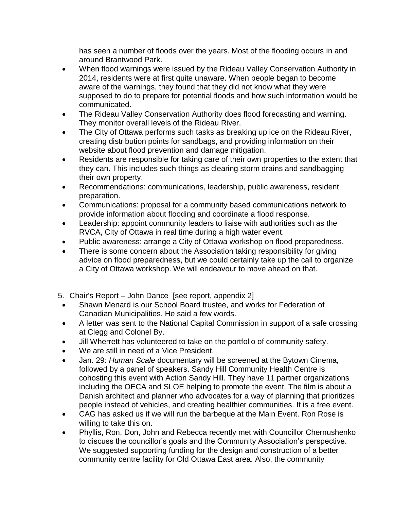has seen a number of floods over the years. Most of the flooding occurs in and around Brantwood Park.

- When flood warnings were issued by the Rideau Valley Conservation Authority in 2014, residents were at first quite unaware. When people began to become aware of the warnings, they found that they did not know what they were supposed to do to prepare for potential floods and how such information would be communicated.
- The Rideau Valley Conservation Authority does flood forecasting and warning. They monitor overall levels of the Rideau River.
- The City of Ottawa performs such tasks as breaking up ice on the Rideau River, creating distribution points for sandbags, and providing information on their website about flood prevention and damage mitigation.
- Residents are responsible for taking care of their own properties to the extent that they can. This includes such things as clearing storm drains and sandbagging their own property.
- Recommendations: communications, leadership, public awareness, resident preparation.
- Communications: proposal for a community based communications network to provide information about flooding and coordinate a flood response.
- Leadership: appoint community leaders to liaise with authorities such as the RVCA, City of Ottawa in real time during a high water event.
- Public awareness: arrange a City of Ottawa workshop on flood preparedness.
- There is some concern about the Association taking responsibility for giving advice on flood preparedness, but we could certainly take up the call to organize a City of Ottawa workshop. We will endeavour to move ahead on that.
- 5. Chair's Report John Dance [see report, appendix 2]
- Shawn Menard is our School Board trustee, and works for Federation of Canadian Municipalities. He said a few words.
- A letter was sent to the National Capital Commission in support of a safe crossing at Clegg and Colonel By.
- Jill Wherrett has volunteered to take on the portfolio of community safety.
- We are still in need of a Vice President.
- Jan. 29: *Human Scale* documentary will be screened at the Bytown Cinema, followed by a panel of speakers. Sandy Hill Community Health Centre is cohosting this event with Action Sandy Hill. They have 11 partner organizations including the OECA and SLOE helping to promote the event. The film is about a Danish architect and planner who advocates for a way of planning that prioritizes people instead of vehicles, and creating healthier communities. It is a free event.
- CAG has asked us if we will run the barbeque at the Main Event. Ron Rose is willing to take this on.
- Phyllis, Ron, Don, John and Rebecca recently met with Councillor Chernushenko to discuss the councillor's goals and the Community Association's perspective. We suggested supporting funding for the design and construction of a better community centre facility for Old Ottawa East area. Also, the community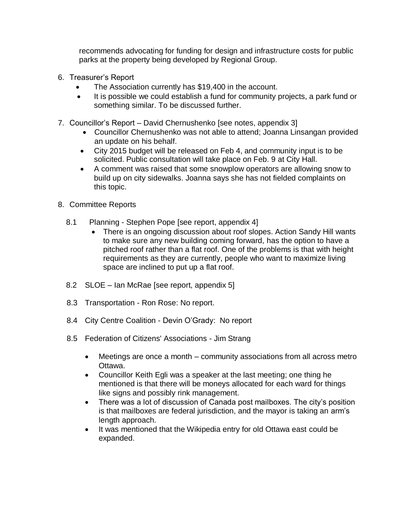recommends advocating for funding for design and infrastructure costs for public parks at the property being developed by Regional Group.

- 6. Treasurer's Report
	- The Association currently has \$19,400 in the account.
	- It is possible we could establish a fund for community projects, a park fund or something similar. To be discussed further.
- 7. Councillor's Report David Chernushenko [see notes, appendix 3]
	- Councillor Chernushenko was not able to attend; Joanna Linsangan provided an update on his behalf.
	- City 2015 budget will be released on Feb 4, and community input is to be solicited. Public consultation will take place on Feb. 9 at City Hall.
	- A comment was raised that some snowplow operators are allowing snow to build up on city sidewalks. Joanna says she has not fielded complaints on this topic.
- 8. Committee Reports
	- 8.1 Planning Stephen Pope [see report, appendix 4]
		- There is an ongoing discussion about roof slopes. Action Sandy Hill wants to make sure any new building coming forward, has the option to have a pitched roof rather than a flat roof. One of the problems is that with height requirements as they are currently, people who want to maximize living space are inclined to put up a flat roof.
	- 8.2 SLOE Ian McRae [see report, appendix 5]
	- 8.3 Transportation Ron Rose: No report.
	- 8.4 City Centre Coalition Devin O'Grady: No report
	- 8.5 Federation of Citizens' Associations Jim Strang
		- Meetings are once a month community associations from all across metro Ottawa.
		- Councillor Keith Egli was a speaker at the last meeting; one thing he mentioned is that there will be moneys allocated for each ward for things like signs and possibly rink management.
		- There was a lot of discussion of Canada post mailboxes. The city's position is that mailboxes are federal jurisdiction, and the mayor is taking an arm's length approach.
		- It was mentioned that the Wikipedia entry for old Ottawa east could be expanded.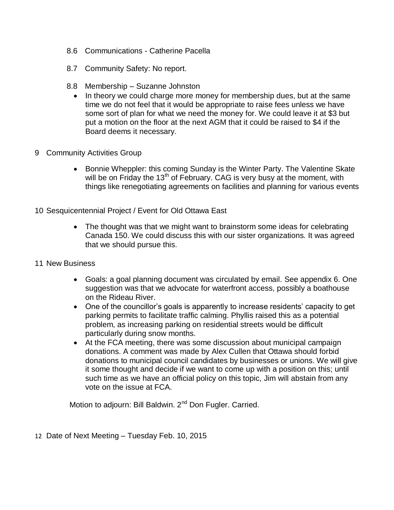- 8.6 Communications Catherine Pacella
- 8.7 Community Safety: No report.
- 8.8 Membership Suzanne Johnston
	- In theory we could charge more money for membership dues, but at the same time we do not feel that it would be appropriate to raise fees unless we have some sort of plan for what we need the money for. We could leave it at \$3 but put a motion on the floor at the next AGM that it could be raised to \$4 if the Board deems it necessary.
- 9 Community Activities Group
	- Bonnie Wheppler: this coming Sunday is the Winter Party. The Valentine Skate will be on Friday the  $13<sup>th</sup>$  of February. CAG is very busy at the moment, with things like renegotiating agreements on facilities and planning for various events
- 10 Sesquicentennial Project / Event for Old Ottawa East
	- The thought was that we might want to brainstorm some ideas for celebrating Canada 150. We could discuss this with our sister organizations. It was agreed that we should pursue this.
- 11 New Business
	- Goals: a goal planning document was circulated by email. See appendix 6. One suggestion was that we advocate for waterfront access, possibly a boathouse on the Rideau River.
	- One of the councillor's goals is apparently to increase residents' capacity to get parking permits to facilitate traffic calming. Phyllis raised this as a potential problem, as increasing parking on residential streets would be difficult particularly during snow months.
	- At the FCA meeting, there was some discussion about municipal campaign donations. A comment was made by Alex Cullen that Ottawa should forbid donations to municipal council candidates by businesses or unions. We will give it some thought and decide if we want to come up with a position on this; until such time as we have an official policy on this topic, Jim will abstain from any vote on the issue at FCA.

Motion to adjourn: Bill Baldwin. 2<sup>nd</sup> Don Fugler. Carried.

12 Date of Next Meeting – Tuesday Feb. 10, 2015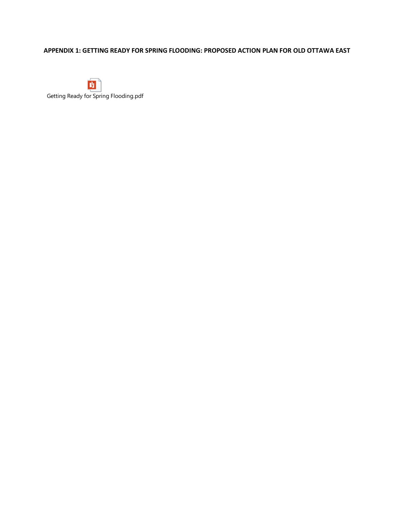# **APPENDIX 1: GETTING READY FOR SPRING FLOODING: PROPOSED ACTION PLAN FOR OLD OTTAWA EAST**

 $\mathbf{y}$ 

Getting Ready for Spring Flooding.pdf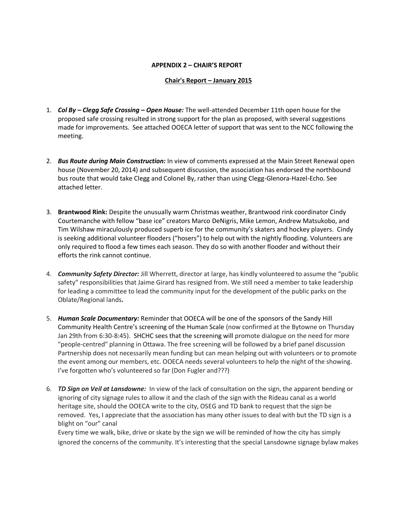#### **APPENDIX 2 – CHAIR'S REPORT**

#### **Chair's Report – January 2015**

- 1. *Col By – Clegg Safe Crossing – Open House:* The well-attended December 11th open house for the proposed safe crossing resulted in strong support for the plan as proposed, with several suggestions made for improvements. See attached OOECA letter of support that was sent to the NCC following the meeting.
- 2. *Bus Route during Main Construction:* In view of comments expressed at the Main Street Renewal open house (November 20, 2014) and subsequent discussion, the association has endorsed the northbound bus route that would take Clegg and Colonel By, rather than using Clegg-Glenora-Hazel-Echo. See attached letter.
- 3. **Brantwood Rink:** Despite the unusually warm Christmas weather, Brantwood rink coordinator Cindy Courtemanche with fellow "base ice" creators Marco DeNigris, Mike Lemon, Andrew Matsukobo, and Tim Wilshaw miraculously produced superb ice for the community's skaters and hockey players. Cindy is seeking additional volunteer flooders ("hosers") to help out with the nightly flooding. Volunteers are only required to flood a few times each season. They do so with another flooder and without their efforts the rink cannot continue.
- 4. *Community Safety Director:* Jill Wherrett, director at large, has kindly volunteered to assume the "public safety" responsibilities that Jaime Girard has resigned from. We still need a member to take leadership for leading a committee to lead the community input for the development of the public parks on the Oblate/Regional lands*.*
- 5. *Human Scale Documentary:* Reminder that OOECA will be one of the sponsors of the Sandy Hill Community Health Centre's screening of the Human Scale (now confirmed at the Bytowne on Thursday Jan 29th from 6:30-8:45). SHCHC sees that the screening will promote dialogue on the need for more "people-centred" planning in Ottawa. The free screening will be followed by a brief panel discussion Partnership does not necessarily mean funding but can mean helping out with volunteers or to promote the event among our members, etc. OOECA needs several volunteers to help the night of the showing. I've forgotten who's volunteered so far (Don Fugler and???)
- 6. *TD Sign on Veil at Lansdowne:* In view of the lack of consultation on the sign, the apparent bending or ignoring of city signage rules to allow it and the clash of the sign with the Rideau canal as a world heritage site, should the OOECA write to the city, OSEG and TD bank to request that the sign be removed. Yes, I appreciate that the association has many other issues to deal with but the TD sign is a blight on "our" canal

Every time we walk, bike, drive or skate by the sign we will be reminded of how the city has simply ignored the concerns of the community. It's interesting that the special Lansdowne signage bylaw makes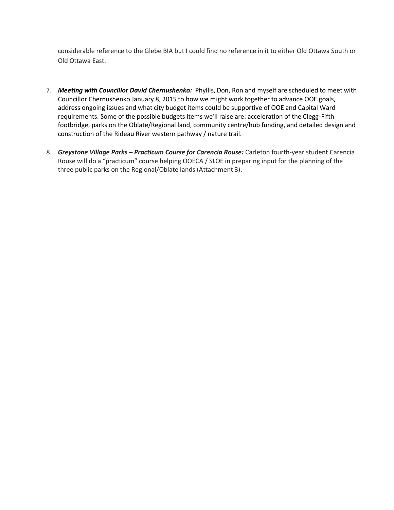considerable reference to the Glebe BIA but I could find no reference in it to either Old Ottawa South or Old Ottawa East.

- 7. *Meeting with Councillor David Chernushenko:* Phyllis, Don, Ron and myself are scheduled to meet with Councillor Chernushenko January 8, 2015 to how we might work together to advance OOE goals, address ongoing issues and what city budget items could be supportive of OOE and Capital Ward requirements. Some of the possible budgets items we'll raise are: acceleration of the Clegg-Fifth footbridge, parks on the Oblate/Regional land, community centre/hub funding, and detailed design and construction of the Rideau River western pathway / nature trail.
- 8. *Greystone Village Parks – Practicum Course for Carencia Rouse:* Carleton fourth-year student Carencia Rouse will do a "practicum" course helping OOECA / SLOE in preparing input for the planning of the three public parks on the Regional/Oblate lands (Attachment 3).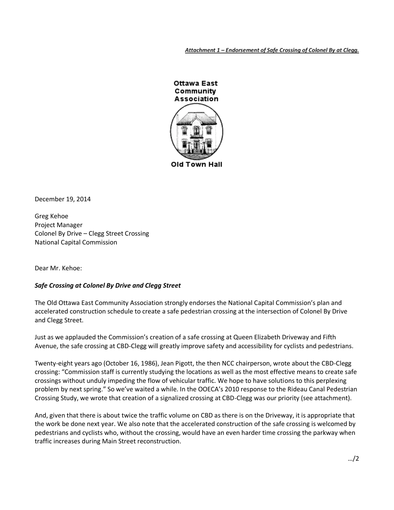*Attachment 1 – Endorsement of Safe Crossing of Colonel By at Clegg.*



December 19, 2014

Greg Kehoe Project Manager Colonel By Drive – Clegg Street Crossing National Capital Commission

Dear Mr. Kehoe:

#### *Safe Crossing at Colonel By Drive and Clegg Street*

The Old Ottawa East Community Association strongly endorses the National Capital Commission's plan and accelerated construction schedule to create a safe pedestrian crossing at the intersection of Colonel By Drive and Clegg Street.

Just as we applauded the Commission's creation of a safe crossing at Queen Elizabeth Driveway and Fifth Avenue, the safe crossing at CBD-Clegg will greatly improve safety and accessibility for cyclists and pedestrians.

Twenty-eight years ago (October 16, 1986), Jean Pigott, the then NCC chairperson, wrote about the CBD-Clegg crossing: "Commission staff is currently studying the locations as well as the most effective means to create safe crossings without unduly impeding the flow of vehicular traffic. We hope to have solutions to this perplexing problem by next spring." So we've waited a while. In the OOECA's 2010 response to the Rideau Canal Pedestrian Crossing Study, we wrote that creation of a signalized crossing at CBD-Clegg was our priority (see attachment).

And, given that there is about twice the traffic volume on CBD as there is on the Driveway, it is appropriate that the work be done next year. We also note that the accelerated construction of the safe crossing is welcomed by pedestrians and cyclists who, without the crossing, would have an even harder time crossing the parkway when traffic increases during Main Street reconstruction.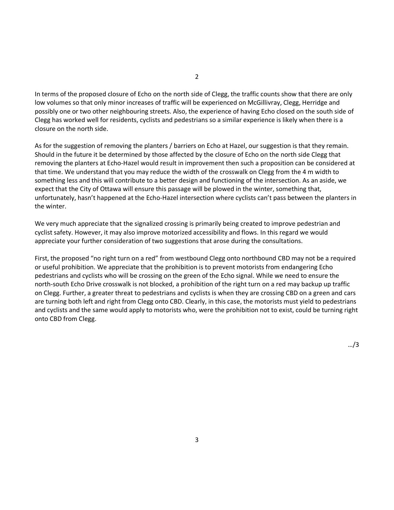In terms of the proposed closure of Echo on the north side of Clegg, the traffic counts show that there are only low volumes so that only minor increases of traffic will be experienced on McGillivray, Clegg, Herridge and possibly one or two other neighbouring streets. Also, the experience of having Echo closed on the south side of Clegg has worked well for residents, cyclists and pedestrians so a similar experience is likely when there is a closure on the north side.

As for the suggestion of removing the planters / barriers on Echo at Hazel, our suggestion is that they remain. Should in the future it be determined by those affected by the closure of Echo on the north side Clegg that removing the planters at Echo-Hazel would result in improvement then such a proposition can be considered at that time. We understand that you may reduce the width of the crosswalk on Clegg from the 4 m width to something less and this will contribute to a better design and functioning of the intersection. As an aside, we expect that the City of Ottawa will ensure this passage will be plowed in the winter, something that, unfortunately, hasn't happened at the Echo-Hazel intersection where cyclists can't pass between the planters in the winter.

We very much appreciate that the signalized crossing is primarily being created to improve pedestrian and cyclist safety. However, it may also improve motorized accessibility and flows. In this regard we would appreciate your further consideration of two suggestions that arose during the consultations.

First, the proposed "no right turn on a red" from westbound Clegg onto northbound CBD may not be a required or useful prohibition. We appreciate that the prohibition is to prevent motorists from endangering Echo pedestrians and cyclists who will be crossing on the green of the Echo signal. While we need to ensure the north-south Echo Drive crosswalk is not blocked, a prohibition of the right turn on a red may backup up traffic on Clegg. Further, a greater threat to pedestrians and cyclists is when they are crossing CBD on a green and cars are turning both left and right from Clegg onto CBD. Clearly, in this case, the motorists must yield to pedestrians and cyclists and the same would apply to motorists who, were the prohibition not to exist, could be turning right onto CBD from Clegg.

3

…/3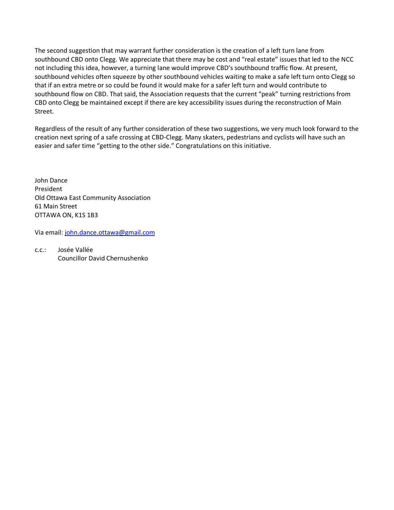The second suggestion that may warrant further consideration is the creation of a left turn lane from southbound CBD onto Clegg. We appreciate that there may be cost and "real estate" issues that led to the NCC not including this idea, however, a turning lane would improve CBD's southbound traffic flow. At present, southbound vehicles often squeeze by other southbound vehicles waiting to make a safe left turn onto Clegg so that if an extra metre or so could be found it would make for a safer left turn and would contribute to southbound flow on CBD. That said, the Association requests that the current "peak" turning restrictions from CBD onto Clegg be maintained except if there are key accessibility issues during the reconstruction of Main Street.

Regardless of the result of any further consideration of these two suggestions, we very much look forward to the creation next spring of a safe crossing at CBD-Clegg. Many skaters, pedestrians and cyclists will have such an easier and safer time "getting to the other side." Congratulations on this initiative.

John Dance President Old Ottawa East Community Association 61 Main Street OTTAWA ON, K1S 1B3

Via email[: john.dance.ottawa@gmail.com](mailto:john.dance.ottawa@gmail.com)

c.c.: Josée Vallée Councillor David Chernushenko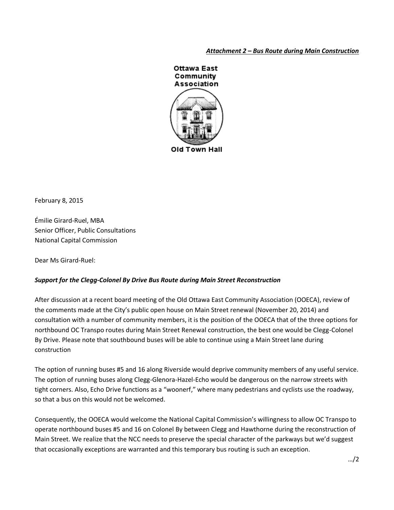## *Attachment 2 – Bus Route during Main Construction*



February 8, 2015

Émilie Girard-Ruel, MBA Senior Officer, Public Consultations National Capital Commission

Dear Ms Girard-Ruel:

## *Support for the Clegg-Colonel By Drive Bus Route during Main Street Reconstruction*

After discussion at a recent board meeting of the Old Ottawa East Community Association (OOECA), review of the comments made at the City's public open house on Main Street renewal (November 20, 2014) and consultation with a number of community members, it is the position of the OOECA that of the three options for northbound OC Transpo routes during Main Street Renewal construction, the best one would be Clegg-Colonel By Drive. Please note that southbound buses will be able to continue using a Main Street lane during construction

The option of running buses #5 and 16 along Riverside would deprive community members of any useful service. The option of running buses along Clegg-Glenora-Hazel-Echo would be dangerous on the narrow streets with tight corners. Also, Echo Drive functions as a "woonerf," where many pedestrians and cyclists use the roadway, so that a bus on this would not be welcomed.

Consequently, the OOECA would welcome the National Capital Commission's willingness to allow OC Transpo to operate northbound buses #5 and 16 on Colonel By between Clegg and Hawthorne during the reconstruction of Main Street. We realize that the NCC needs to preserve the special character of the parkways but we'd suggest that occasionally exceptions are warranted and this temporary bus routing is such an exception.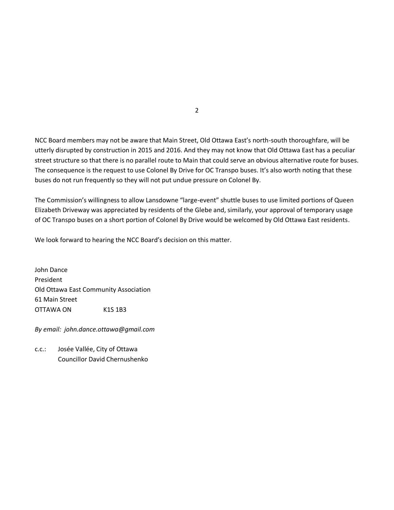NCC Board members may not be aware that Main Street, Old Ottawa East's north-south thoroughfare, will be utterly disrupted by construction in 2015 and 2016. And they may not know that Old Ottawa East has a peculiar street structure so that there is no parallel route to Main that could serve an obvious alternative route for buses. The consequence is the request to use Colonel By Drive for OC Transpo buses. It's also worth noting that these buses do not run frequently so they will not put undue pressure on Colonel By.

The Commission's willingness to allow Lansdowne "large-event" shuttle buses to use limited portions of Queen Elizabeth Driveway was appreciated by residents of the Glebe and, similarly, your approval of temporary usage of OC Transpo buses on a short portion of Colonel By Drive would be welcomed by Old Ottawa East residents.

We look forward to hearing the NCC Board's decision on this matter.

John Dance President Old Ottawa East Community Association 61 Main Street OTTAWA ON K1S 1B3

*By email: john.dance.ottawa@gmail.com*

c.c.: Josée Vallée, City of Ottawa Councillor David Chernushenko 2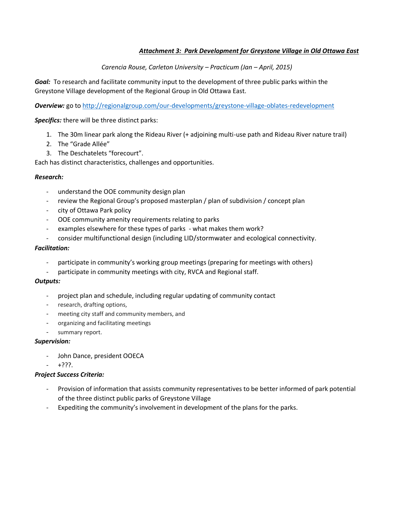## *Attachment 3: Park Development for Greystone Village in Old Ottawa East*

## *Carencia Rouse, Carleton University – Practicum (Jan – April, 2015)*

*Goal:* To research and facilitate community input to the development of three public parks within the Greystone Village development of the Regional Group in Old Ottawa East.

*Overview:* go to<http://regionalgroup.com/our-developments/greystone-village-oblates-redevelopment>

*Specifics:* there will be three distinct parks:

- 1. The 30m linear park along the Rideau River (+ adjoining multi-use path and Rideau River nature trail)
- 2. The "Grade Allée"
- 3. The Deschatelets "forecourt".

Each has distinct characteristics, challenges and opportunities.

#### *Research:*

- understand the OOE community design plan
- review the Regional Group's proposed masterplan / plan of subdivision / concept plan
- city of Ottawa Park policy
- OOE community amenity requirements relating to parks
- examples elsewhere for these types of parks what makes them work?
- consider multifunctional design (including LID/stormwater and ecological connectivity.

#### *Facilitation:*

- participate in community's working group meetings (preparing for meetings with others)
- participate in community meetings with city, RVCA and Regional staff.

#### *Outputs:*

- project plan and schedule, including regular updating of community contact
- research, drafting options,
- meeting city staff and community members, and
- organizing and facilitating meetings
- summary report.

#### *Supervision:*

- John Dance, president OOECA
- +???.

#### *Project Success Criteria:*

- Provision of information that assists community representatives to be better informed of park potential of the three distinct public parks of Greystone Village
- Expediting the community's involvement in development of the plans for the parks.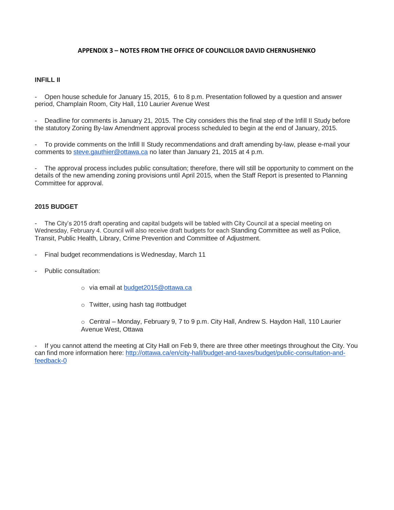#### **APPENDIX 3 – NOTES FROM THE OFFICE OF COUNCILLOR DAVID CHERNUSHENKO**

#### **INFILL II**

- Open house schedule for January 15, 2015, 6 to 8 p.m. Presentation followed by a question and answer period, Champlain Room, City Hall, 110 Laurier Avenue West

Deadline for comments is January 21, 2015. The City considers this the final step of the Infill II Study before the statutory Zoning By-law Amendment approval process scheduled to begin at the end of January, 2015.

- To provide comments on the Infill II Study recommendations and draft amending by-law, please e-mail your comments to [steve.gauthier@ottawa.ca](mailto:steve.gauthier@ottawa.ca) no later than January 21, 2015 at 4 p.m.

The approval process includes public consultation; therefore, there will still be opportunity to comment on the details of the new amending zoning provisions until April 2015, when the Staff Report is presented to Planning Committee for approval.

#### **2015 BUDGET**

The City's 2015 draft operating and capital budgets will be tabled with City Council at a special meeting on Wednesday, February 4. Council will also receive draft budgets for each Standing Committee as well as Police, Transit, Public Health, Library, Crime Prevention and Committee of Adjustment.

- Final budget recommendations is Wednesday, March 11
- Public consultation:
	- o via email at [budget2015@ottawa.ca](mailto:budget2015@ottawa.ca)
	- o Twitter, using hash tag #ottbudget

o Central – Monday, February 9, 7 to 9 p.m. City Hall, Andrew S. Haydon Hall, 110 Laurier Avenue West, Ottawa

If you cannot attend the meeting at City Hall on Feb 9, there are three other meetings throughout the City. You can find more information here: [http://ottawa.ca/en/city-hall/budget-and-taxes/budget/public-consultation-and](http://ottawa.ca/en/city-hall/budget-and-taxes/budget/public-consultation-and-feedback-0)[feedback-0](http://ottawa.ca/en/city-hall/budget-and-taxes/budget/public-consultation-and-feedback-0)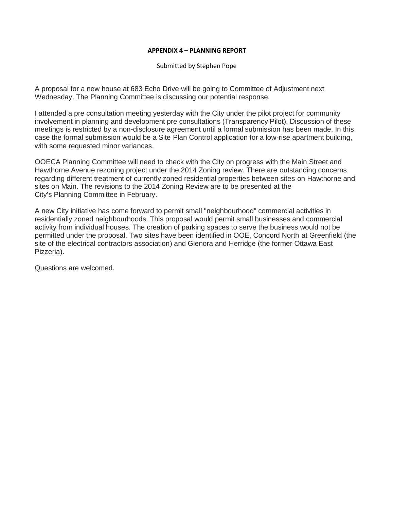#### **APPENDIX 4 – PLANNING REPORT**

Submitted by Stephen Pope

A proposal for a new house at 683 Echo Drive will be going to Committee of Adjustment next Wednesday. The Planning Committee is discussing our potential response.

I attended a pre consultation meeting yesterday with the City under the pilot project for community involvement in planning and development pre consultations (Transparency Pilot). Discussion of these meetings is restricted by a non-disclosure agreement until a formal submission has been made. In this case the formal submission would be a Site Plan Control application for a low-rise apartment building, with some requested minor variances.

OOECA Planning Committee will need to check with the City on progress with the Main Street and Hawthorne Avenue rezoning project under the 2014 Zoning review. There are outstanding concerns regarding different treatment of currently zoned residential properties between sites on Hawthorne and sites on Main. The revisions to the 2014 Zoning Review are to be presented at the City's Planning Committee in February.

A new City initiative has come forward to permit small "neighbourhood" commercial activities in residentially zoned neighbourhoods. This proposal would permit small businesses and commercial activity from individual houses. The creation of parking spaces to serve the business would not be permitted under the proposal. Two sites have been identified in OOE, Concord North at Greenfield (the site of the electrical contractors association) and Glenora and Herridge (the former Ottawa East Pizzeria).

Questions are welcomed.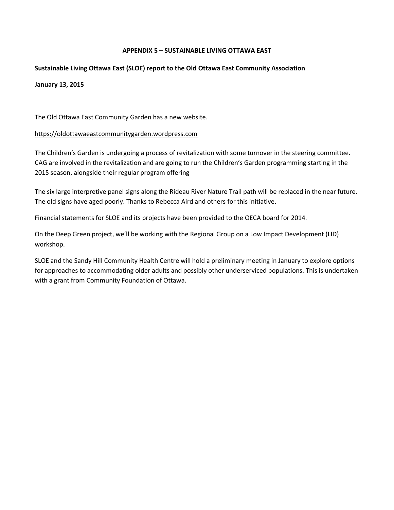## **APPENDIX 5 – SUSTAINABLE LIVING OTTAWA EAST**

## **Sustainable Living Ottawa East (SLOE) report to the Old Ottawa East Community Association**

## **January 13, 2015**

The Old Ottawa East Community Garden has a new website.

#### [https://oldottawaeastcommunitygarden.wordpress.com](https://oldottawaeastcommunitygarden.wordpress.com/)

The Children's Garden is undergoing a process of revitalization with some turnover in the steering committee. CAG are involved in the revitalization and are going to run the Children's Garden programming starting in the 2015 season, alongside their regular program offering

The six large interpretive panel signs along the Rideau River Nature Trail path will be replaced in the near future. The old signs have aged poorly. Thanks to Rebecca Aird and others for this initiative.

Financial statements for SLOE and its projects have been provided to the OECA board for 2014.

On the Deep Green project, we'll be working with the Regional Group on a Low Impact Development (LID) workshop.

SLOE and the Sandy Hill Community Health Centre will hold a preliminary meeting in January to explore options for approaches to accommodating older adults and possibly other underserviced populations. This is undertaken with a grant from Community Foundation of Ottawa.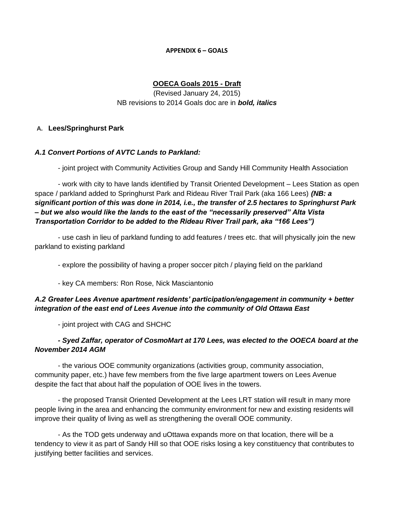#### **APPENDIX 6 – GOALS**

## **OOECA Goals 2015 - Draft**

(Revised January 24, 2015) NB revisions to 2014 Goals doc are in *bold, italics*

## **A. Lees/Springhurst Park**

## *A.1 Convert Portions of AVTC Lands to Parkland:*

- joint project with Community Activities Group and Sandy Hill Community Health Association

- work with city to have lands identified by Transit Oriented Development – Lees Station as open space / parkland added to Springhurst Park and Rideau River Trail Park (aka 166 Lees) *(NB: a significant portion of this was done in 2014, i.e., the transfer of 2.5 hectares to Springhurst Park – but we also would like the lands to the east of the "necessarily preserved" Alta Vista Transportation Corridor to be added to the Rideau River Trail park, aka "166 Lees")*

- use cash in lieu of parkland funding to add features / trees etc. that will physically join the new parkland to existing parkland

- explore the possibility of having a proper soccer pitch / playing field on the parkland

- key CA members: Ron Rose, Nick Masciantonio

# *A.2 Greater Lees Avenue apartment residents' participation/engagement in community + better integration of the east end of Lees Avenue into the community of Old Ottawa East*

- joint project with CAG and SHCHC

## *- Syed Zaffar, operator of CosmoMart at 170 Lees, was elected to the OOECA board at the November 2014 AGM*

- the various OOE community organizations (activities group, community association, community paper, etc.) have few members from the five large apartment towers on Lees Avenue despite the fact that about half the population of OOE lives in the towers.

- the proposed Transit Oriented Development at the Lees LRT station will result in many more people living in the area and enhancing the community environment for new and existing residents will improve their quality of living as well as strengthening the overall OOE community.

- As the TOD gets underway and uOttawa expands more on that location, there will be a tendency to view it as part of Sandy Hill so that OOE risks losing a key constituency that contributes to justifying better facilities and services.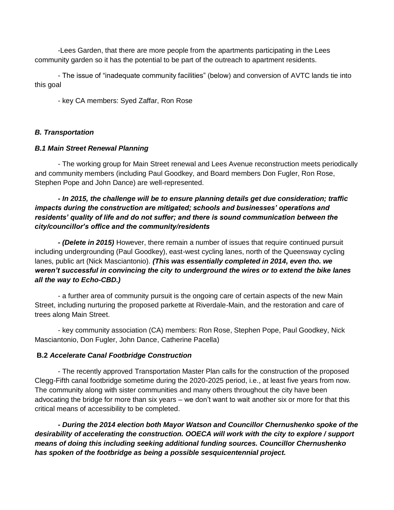-Lees Garden, that there are more people from the apartments participating in the Lees community garden so it has the potential to be part of the outreach to apartment residents.

- The issue of "inadequate community facilities" (below) and conversion of AVTC lands tie into this goal

- key CA members: Syed Zaffar, Ron Rose

## *B. Transportation*

## *B.1 Main Street Renewal Planning*

- The working group for Main Street renewal and Lees Avenue reconstruction meets periodically and community members (including Paul Goodkey, and Board members Don Fugler, Ron Rose, Stephen Pope and John Dance) are well-represented.

# *- In 2015, the challenge will be to ensure planning details get due consideration; traffic impacts during the construction are mitigated; schools and businesses' operations and residents' quality of life and do not suffer; and there is sound communication between the city/councillor's office and the community/residents*

*- (Delete in 2015)* However, there remain a number of issues that require continued pursuit including undergrounding (Paul Goodkey), east-west cycling lanes, north of the Queensway cycling lanes, public art (Nick Masciantonio). *(This was essentially completed in 2014, even tho. we weren't successful in convincing the city to underground the wires or to extend the bike lanes all the way to Echo-CBD.)*

- a further area of community pursuit is the ongoing care of certain aspects of the new Main Street, including nurturing the proposed parkette at Riverdale-Main, and the restoration and care of trees along Main Street.

- key community association (CA) members: Ron Rose, Stephen Pope, Paul Goodkey, Nick Masciantonio, Don Fugler, John Dance, Catherine Pacella)

# **B.2** *Accelerate Canal Footbridge Construction*

- The recently approved Transportation Master Plan calls for the construction of the proposed Clegg-Fifth canal footbridge sometime during the 2020-2025 period, i.e., at least five years from now. The community along with sister communities and many others throughout the city have been advocating the bridge for more than six years – we don't want to wait another six or more for that this critical means of accessibility to be completed.

*- During the 2014 election both Mayor Watson and Councillor Chernushenko spoke of the desirability of accelerating the construction. OOECA will work with the city to explore / support means of doing this including seeking additional funding sources. Councillor Chernushenko has spoken of the footbridge as being a possible sesquicentennial project.*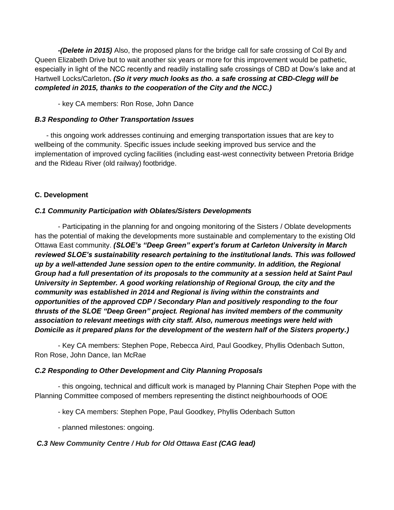*-(Delete in 2015)* Also, the proposed plans for the bridge call for safe crossing of Col By and Queen Elizabeth Drive but to wait another six years or more for this improvement would be pathetic, especially in light of the NCC recently and readily installing safe crossings of CBD at Dow's lake and at Hartwell Locks/Carleton*. (So it very much looks as tho. a safe crossing at CBD-Clegg will be completed in 2015, thanks to the cooperation of the City and the NCC.)*

- key CA members: Ron Rose, John Dance

# *B.3 Responding to Other Transportation Issues*

- this ongoing work addresses continuing and emerging transportation issues that are key to wellbeing of the community. Specific issues include seeking improved bus service and the implementation of improved cycling facilities (including east-west connectivity between Pretoria Bridge and the Rideau River (old railway) footbridge.

# **C. Development**

# *C.1 Community Participation with Oblates/Sisters Developments*

- Participating in the planning for and ongoing monitoring of the Sisters / Oblate developments has the potential of making the developments more sustainable and complementary to the existing Old Ottawa East community. *(SLOE's "Deep Green" expert's forum at Carleton University in March reviewed SLOE's sustainability research pertaining to the institutional lands. This was followed up by a well-attended June session open to the entire community. In addition, the Regional Group had a full presentation of its proposals to the community at a session held at Saint Paul University in September. A good working relationship of Regional Group, the city and the community was established in 2014 and Regional is living within the constraints and opportunities of the approved CDP / Secondary Plan and positively responding to the four thrusts of the SLOE "Deep Green" project. Regional has invited members of the community association to relevant meetings with city staff. Also, numerous meetings were held with Domicile as it prepared plans for the development of the western half of the Sisters property.)* 

- Key CA members: Stephen Pope, Rebecca Aird, Paul Goodkey, Phyllis Odenbach Sutton, Ron Rose, John Dance, Ian McRae

# *C.2 Responding to Other Development and City Planning Proposals*

- this ongoing, technical and difficult work is managed by Planning Chair Stephen Pope with the Planning Committee composed of members representing the distinct neighbourhoods of OOE

- key CA members: Stephen Pope, Paul Goodkey, Phyllis Odenbach Sutton

- planned milestones: ongoing.

# *C.3 New Community Centre / Hub for Old Ottawa East (CAG lead)*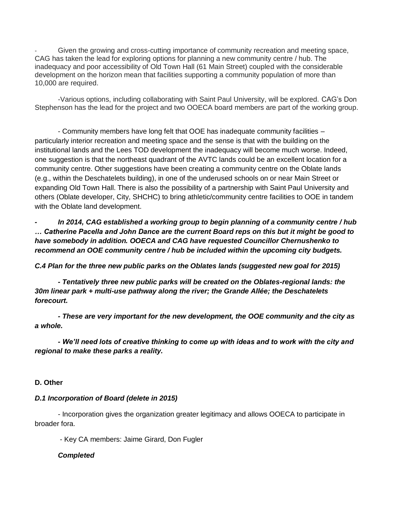Given the growing and cross-cutting importance of community recreation and meeting space, CAG has taken the lead for exploring options for planning a new community centre / hub. The inadequacy and poor accessibility of Old Town Hall (61 Main Street) coupled with the considerable development on the horizon mean that facilities supporting a community population of more than 10,000 are required.

-Various options, including collaborating with Saint Paul University, will be explored. CAG's Don Stephenson has the lead for the project and two OOECA board members are part of the working group.

- Community members have long felt that OOE has inadequate community facilities – particularly interior recreation and meeting space and the sense is that with the building on the institutional lands and the Lees TOD development the inadequacy will become much worse. Indeed, one suggestion is that the northeast quadrant of the AVTC lands could be an excellent location for a community centre. Other suggestions have been creating a community centre on the Oblate lands (e.g., within the Deschatelets building), in one of the underused schools on or near Main Street or expanding Old Town Hall. There is also the possibility of a partnership with Saint Paul University and others (Oblate developer, City, SHCHC) to bring athletic/community centre facilities to OOE in tandem with the Oblate land development.

*- In 2014, CAG established a working group to begin planning of a community centre / hub … Catherine Pacella and John Dance are the current Board reps on this but it might be good to have somebody in addition. OOECA and CAG have requested Councillor Chernushenko to recommend an OOE community centre / hub be included within the upcoming city budgets.*

*C.4 Plan for the three new public parks on the Oblates lands (suggested new goal for 2015)*

*- Tentatively three new public parks will be created on the Oblates-regional lands: the 30m linear park + multi-use pathway along the river; the Grande Allée; the Deschatelets forecourt.*

*- These are very important for the new development, the OOE community and the city as a whole.*

*- We'll need lots of creative thinking to come up with ideas and to work with the city and regional to make these parks a reality.*

# **D. Other**

## *D.1 Incorporation of Board (delete in 2015)*

- Incorporation gives the organization greater legitimacy and allows OOECA to participate in broader fora.

- Key CA members: Jaime Girard, Don Fugler

## *Completed*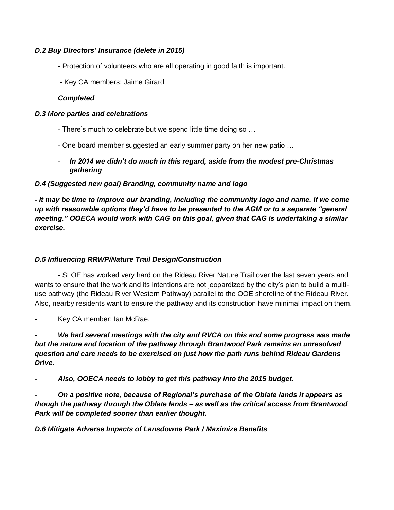# *D.2 Buy Directors' Insurance (delete in 2015)*

- Protection of volunteers who are all operating in good faith is important.
- Key CA members: Jaime Girard

## *Completed*

## *D.3 More parties and celebrations*

- There's much to celebrate but we spend little time doing so …
- One board member suggested an early summer party on her new patio …
- In 2014 we didn't do much in this regard, aside from the modest pre-Christmas *gathering*

# *D.4 (Suggested new goal) Branding, community name and logo*

*- It may be time to improve our branding, including the community logo and name. If we come up with reasonable options they'd have to be presented to the AGM or to a separate "general meeting." OOECA would work with CAG on this goal, given that CAG is undertaking a similar exercise.*

# *D.5 Influencing RRWP/Nature Trail Design/Construction*

- SLOE has worked very hard on the Rideau River Nature Trail over the last seven years and wants to ensure that the work and its intentions are not jeopardized by the city's plan to build a multiuse pathway (the Rideau River Western Pathway) parallel to the OOE shoreline of the Rideau River. Also, nearby residents want to ensure the pathway and its construction have minimal impact on them.

Key CA member: Ian McRae.

*We had several meetings with the city and RVCA on this and some progress was made but the nature and location of the pathway through Brantwood Park remains an unresolved question and care needs to be exercised on just how the path runs behind Rideau Gardens Drive.*

*- Also, OOECA needs to lobby to get this pathway into the 2015 budget.*

*- On a positive note, because of Regional's purchase of the Oblate lands it appears as though the pathway through the Oblate lands – as well as the critical access from Brantwood Park will be completed sooner than earlier thought.*

*D.6 Mitigate Adverse Impacts of Lansdowne Park / Maximize Benefits*